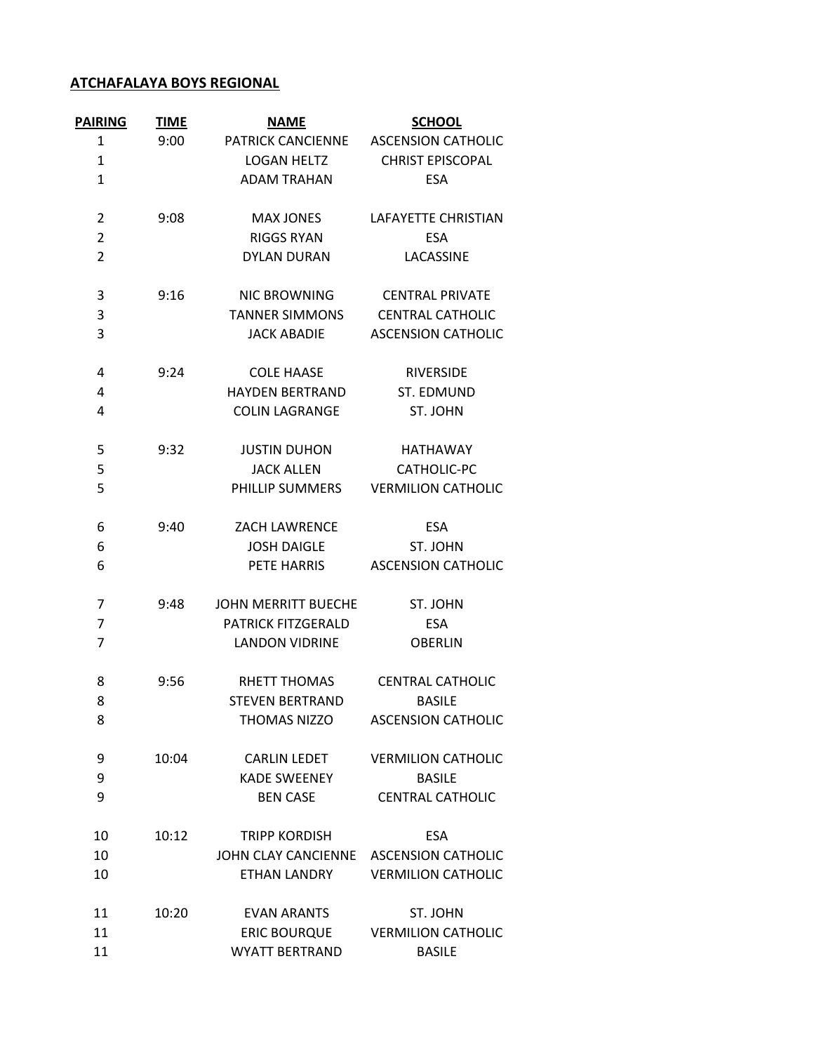## **ATCHAFALAYA BOYS REGIONAL**

| <b>PAIRING</b> | <b>TIME</b> | <b>NAME</b>                | <b>SCHOOL</b>             |
|----------------|-------------|----------------------------|---------------------------|
| 1              | 9:00        | PATRICK CANCIENNE          | <b>ASCENSION CATHOLIC</b> |
| 1              |             | <b>LOGAN HELTZ</b>         | <b>CHRIST EPISCOPAL</b>   |
| $\mathbf{1}$   |             | <b>ADAM TRAHAN</b>         | <b>ESA</b>                |
| 2              | 9:08        | <b>MAX JONES</b>           | LAFAYETTE CHRISTIAN       |
| $\overline{2}$ |             | <b>RIGGS RYAN</b>          | <b>ESA</b>                |
| $\overline{2}$ |             | <b>DYLAN DURAN</b>         | LACASSINE                 |
| 3              | 9:16        | <b>NIC BROWNING</b>        | <b>CENTRAL PRIVATE</b>    |
| 3              |             | <b>TANNER SIMMONS</b>      | <b>CENTRAL CATHOLIC</b>   |
| 3              |             | <b>JACK ABADIE</b>         | <b>ASCENSION CATHOLIC</b> |
| 4              | 9:24        | <b>COLE HAASE</b>          | <b>RIVERSIDE</b>          |
| 4              |             | <b>HAYDEN BERTRAND</b>     | ST. EDMUND                |
| 4              |             | <b>COLIN LAGRANGE</b>      | ST. JOHN                  |
| 5              | 9:32        | <b>JUSTIN DUHON</b>        | <b>HATHAWAY</b>           |
| 5              |             | <b>JACK ALLEN</b>          | CATHOLIC-PC               |
| 5              |             | PHILLIP SUMMERS            | <b>VERMILION CATHOLIC</b> |
| 6              | 9:40        | <b>ZACH LAWRENCE</b>       | <b>ESA</b>                |
| 6              |             | <b>JOSH DAIGLE</b>         | ST. JOHN                  |
| 6              |             | PETE HARRIS                | <b>ASCENSION CATHOLIC</b> |
| 7              | 9:48        | <b>JOHN MERRITT BUECHE</b> | ST. JOHN                  |
| 7              |             | <b>PATRICK FITZGERALD</b>  | <b>ESA</b>                |
| 7              |             | <b>LANDON VIDRINE</b>      | <b>OBERLIN</b>            |
| 8              | 9:56        | <b>RHETT THOMAS</b>        | <b>CENTRAL CATHOLIC</b>   |
| 8              |             | <b>STEVEN BERTRAND</b>     | <b>BASILE</b>             |
| 8              |             | THOMAS NIZZO               | <b>ASCENSION CATHOLIC</b> |
| 9              | 10:04       | <b>CARLIN LEDET</b>        | <b>VERMILION CATHOLIC</b> |
| 9              |             | <b>KADE SWEENEY</b>        | <b>BASILE</b>             |
| 9              |             | <b>BEN CASE</b>            | <b>CENTRAL CATHOLIC</b>   |
| 10             | 10:12       | <b>TRIPP KORDISH</b>       | <b>ESA</b>                |
| 10             |             | JOHN CLAY CANCIENNE        | <b>ASCENSION CATHOLIC</b> |
| 10             |             | ETHAN LANDRY               | <b>VERMILION CATHOLIC</b> |
| 11             | 10:20       | <b>EVAN ARANTS</b>         | ST. JOHN                  |
| 11             |             | <b>ERIC BOURQUE</b>        | <b>VERMILION CATHOLIC</b> |
| 11             |             | <b>WYATT BERTRAND</b>      | <b>BASILE</b>             |